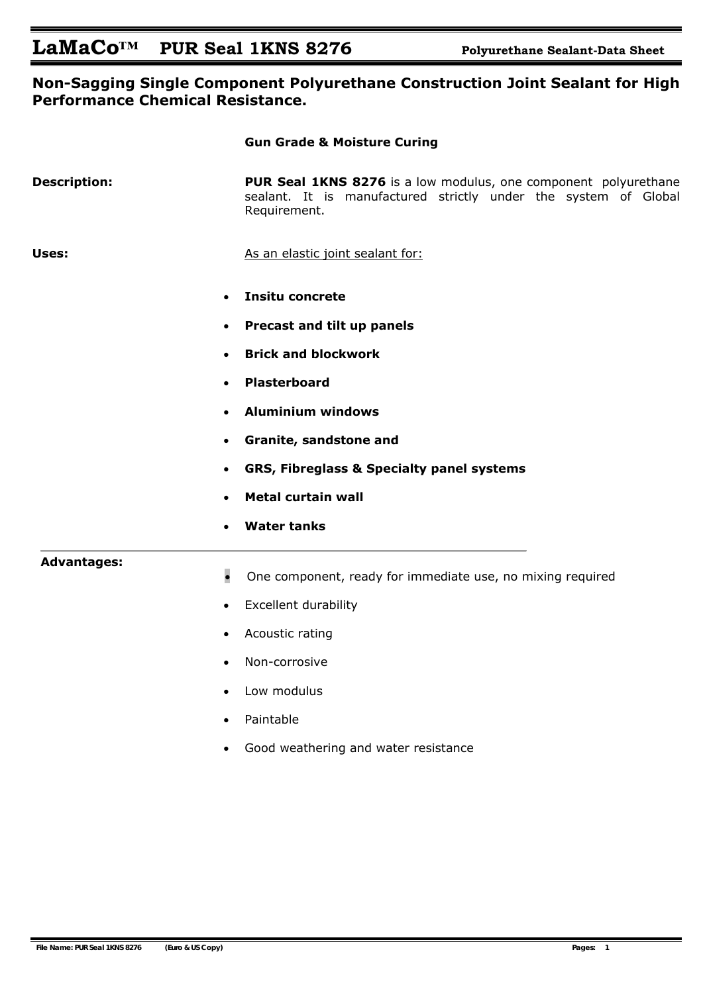### **Non-Sagging Single Component Polyurethane Construction Joint Sealant for High Performance Chemical Resistance.**

|                     | <b>Gun Grade &amp; Moisture Curing</b>                                                                                                                    |                                                                         |  |  |  |  |                                                                                                |
|---------------------|-----------------------------------------------------------------------------------------------------------------------------------------------------------|-------------------------------------------------------------------------|--|--|--|--|------------------------------------------------------------------------------------------------|
| <b>Description:</b> | <b>PUR Seal 1KNS 8276</b> is a low modulus, one component polyurethane<br>sealant. It is manufactured strictly under the system of Global<br>Requirement. |                                                                         |  |  |  |  |                                                                                                |
| Uses:               | As an elastic joint sealant for:                                                                                                                          |                                                                         |  |  |  |  |                                                                                                |
|                     | <b>Insitu concrete</b>                                                                                                                                    |                                                                         |  |  |  |  |                                                                                                |
|                     | Precast and tilt up panels<br>$\bullet$                                                                                                                   |                                                                         |  |  |  |  |                                                                                                |
|                     | <b>Brick and blockwork</b><br>$\bullet$                                                                                                                   |                                                                         |  |  |  |  |                                                                                                |
|                     | <b>Plasterboard</b><br>$\bullet$                                                                                                                          |                                                                         |  |  |  |  |                                                                                                |
|                     | <b>Aluminium windows</b><br>Granite, sandstone and<br>$\bullet$                                                                                           |                                                                         |  |  |  |  |                                                                                                |
|                     |                                                                                                                                                           |                                                                         |  |  |  |  | <b>GRS, Fibreglass &amp; Specialty panel systems</b><br>$\bullet$<br><b>Metal curtain wall</b> |
|                     |                                                                                                                                                           | <b>Water tanks</b>                                                      |  |  |  |  |                                                                                                |
|                     | <b>Advantages:</b>                                                                                                                                        | $\bullet$<br>One component, ready for immediate use, no mixing required |  |  |  |  |                                                                                                |
|                     | <b>Excellent durability</b><br>$\bullet$                                                                                                                  |                                                                         |  |  |  |  |                                                                                                |
|                     | Acoustic rating<br>$\bullet$                                                                                                                              |                                                                         |  |  |  |  |                                                                                                |
|                     | Non-corrosive                                                                                                                                             |                                                                         |  |  |  |  |                                                                                                |
|                     | Low modulus                                                                                                                                               |                                                                         |  |  |  |  |                                                                                                |
|                     | Paintable                                                                                                                                                 |                                                                         |  |  |  |  |                                                                                                |
|                     | Good weathering and water resistance                                                                                                                      |                                                                         |  |  |  |  |                                                                                                |
|                     |                                                                                                                                                           |                                                                         |  |  |  |  |                                                                                                |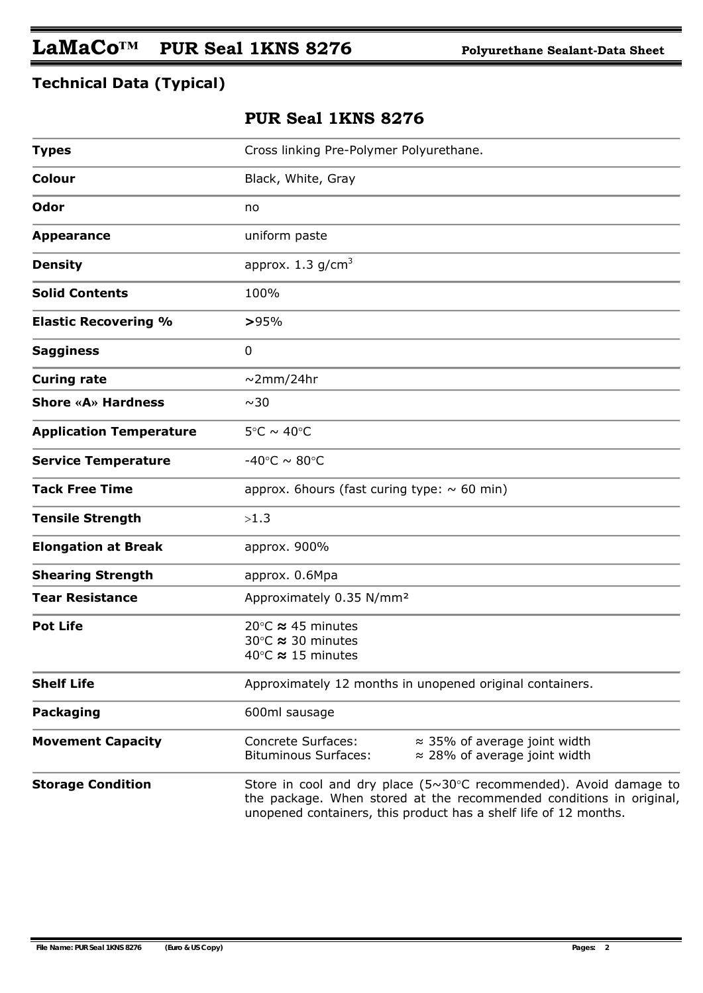## **Technical Data (Typical)**

## **PUR Seal 1KNS 8276**

| <b>Types</b>                   | Cross linking Pre-Polymer Polyurethane.                                                                                                                                                                                  |  |  |  |  |
|--------------------------------|--------------------------------------------------------------------------------------------------------------------------------------------------------------------------------------------------------------------------|--|--|--|--|
| Colour                         | Black, White, Gray                                                                                                                                                                                                       |  |  |  |  |
| Odor                           | no                                                                                                                                                                                                                       |  |  |  |  |
| <b>Appearance</b>              | uniform paste                                                                                                                                                                                                            |  |  |  |  |
| <b>Density</b>                 | approx. $1.3$ g/cm <sup>3</sup>                                                                                                                                                                                          |  |  |  |  |
| <b>Solid Contents</b>          | 100%                                                                                                                                                                                                                     |  |  |  |  |
| <b>Elastic Recovering %</b>    | >95%                                                                                                                                                                                                                     |  |  |  |  |
| <b>Sagginess</b>               | $\mathbf 0$                                                                                                                                                                                                              |  |  |  |  |
| <b>Curing rate</b>             | $\sim$ 2mm/24hr                                                                                                                                                                                                          |  |  |  |  |
| Shore «A» Hardness             | ~10                                                                                                                                                                                                                      |  |  |  |  |
| <b>Application Temperature</b> | $5^{\circ}$ C ~ 40 $^{\circ}$ C                                                                                                                                                                                          |  |  |  |  |
| <b>Service Temperature</b>     | -40°C $\sim$ 80°C                                                                                                                                                                                                        |  |  |  |  |
| <b>Tack Free Time</b>          | approx. 6 hours (fast curing type: $\sim$ 60 min)                                                                                                                                                                        |  |  |  |  |
| <b>Tensile Strength</b>        | >1.3                                                                                                                                                                                                                     |  |  |  |  |
| <b>Elongation at Break</b>     | approx. 900%                                                                                                                                                                                                             |  |  |  |  |
| <b>Shearing Strength</b>       | approx. 0.6Mpa                                                                                                                                                                                                           |  |  |  |  |
| <b>Tear Resistance</b>         | Approximately 0.35 N/mm <sup>2</sup>                                                                                                                                                                                     |  |  |  |  |
| <b>Pot Life</b>                | 20 $\degree$ C $\approx$ 45 minutes<br>30°C ≈ 30 minutes<br>40 $\degree$ C $\approx$ 15 minutes                                                                                                                          |  |  |  |  |
| <b>Shelf Life</b>              | Approximately 12 months in unopened original containers.                                                                                                                                                                 |  |  |  |  |
| <b>Packaging</b>               | 600ml sausage                                                                                                                                                                                                            |  |  |  |  |
| <b>Movement Capacity</b>       | <b>Concrete Surfaces:</b><br>$\approx$ 35% of average joint width<br><b>Bituminous Surfaces:</b><br>$\approx$ 28% of average joint width                                                                                 |  |  |  |  |
| <b>Storage Condition</b>       | Store in cool and dry place $(5\sim30^{\circ}C$ recommended). Avoid damage to<br>the package. When stored at the recommended conditions in original,<br>unopened containers, this product has a shelf life of 12 months. |  |  |  |  |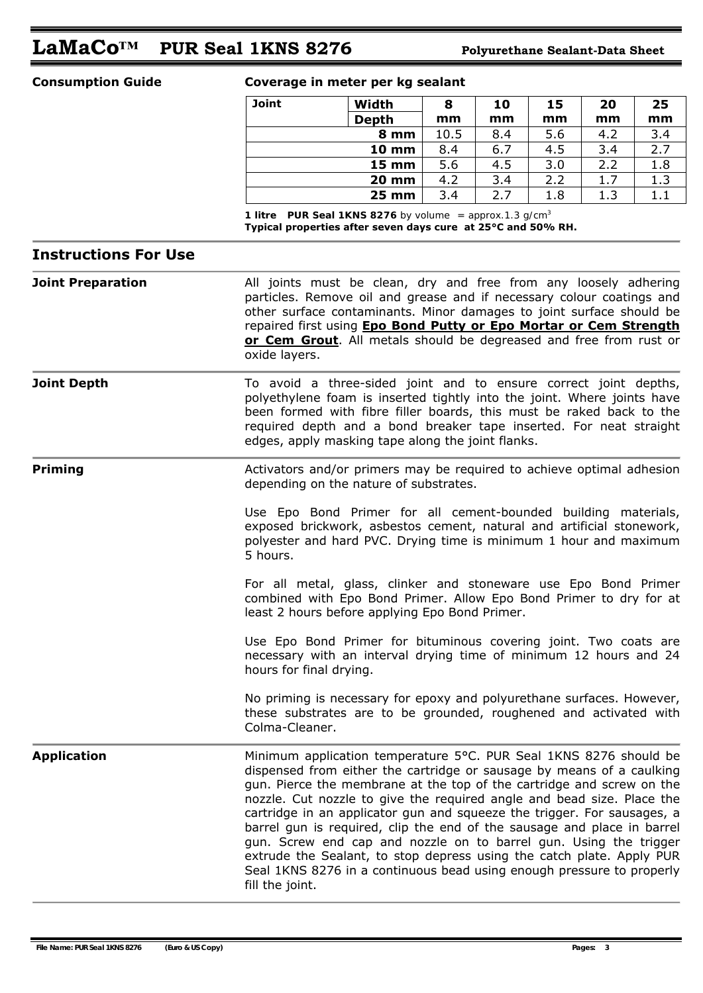# **LaMaCo™ PUR Seal 1KNS 8276 Polyurethane Sealant-Data Sheet**

### **Consumption Guide Coverage in meter per kg sealant**

| Joint | Width             | 8    | 10  | 15  | 20  | 25  |
|-------|-------------------|------|-----|-----|-----|-----|
|       | <b>Depth</b>      | mm   | mm  | mm  | mm  | mm  |
|       | 8 mm              | 10.5 | 8.4 | 5.6 | 4.2 | 3.4 |
|       | <b>10 mm</b>      | 8.4  | 6.7 | 4.5 | 3.4 | 2.7 |
|       | $15 \, \text{mm}$ | 5.6  | 4.5 | 3.0 | 2.2 | 1.8 |
|       | <b>20 mm</b>      | 4.2  | 3.4 | 2.2 | 1.7 | 1.3 |
|       | <b>25 mm</b>      | 3.4  | 2.7 | 1.8 | 1.3 | 1.1 |

 *1 litre PUR Seal 1KNS 8276 by volume = approx.1.3 g/cm3* **Typical properties after seven days cure at 25°C and 50% RH.** 

### **Instructions For Use**

**Joint Preparation All joints must be clean, dry and free from any loosely adhering** particles. Remove oil and grease and if necessary colour coatings and other surface contaminants. Minor damages to joint surface should be repaired first using **Epo Bond Putty or Epo Mortar or Cem Strength or Cem Grout**. All metals should be degreased and free from rust or oxide layers.

**Joint Depth** To avoid a three-sided joint and to ensure correct joint depths, polyethylene foam is inserted tightly into the joint. Where joints have been formed with fibre filler boards, this must be raked back to the required depth and a bond breaker tape inserted. For neat straight edges, apply masking tape along the joint flanks.

**Priming Activators and/or primers may be required to achieve optimal adhesion** depending on the nature of substrates.

> Use Epo Bond Primer for all cement-bounded building materials, exposed brickwork, asbestos cement, natural and artificial stonework, polyester and hard PVC. Drying time is minimum 1 hour and maximum 5 hours.

> For all metal, glass, clinker and stoneware use Epo Bond Primer combined with Epo Bond Primer. Allow Epo Bond Primer to dry for at least 2 hours before applying Epo Bond Primer.

> Use Epo Bond Primer for bituminous covering joint. Two coats are necessary with an interval drying time of minimum 12 hours and 24 hours for final drying.

> No priming is necessary for epoxy and polyurethane surfaces. However, these substrates are to be grounded, roughened and activated with Colma-Cleaner.

**Application** Minimum application temperature 5°C. PUR Seal 1KNS 8276 should be dispensed from either the cartridge or sausage by means of a caulking gun. Pierce the membrane at the top of the cartridge and screw on the nozzle. Cut nozzle to give the required angle and bead size. Place the cartridge in an applicator gun and squeeze the trigger. For sausages, a barrel gun is required, clip the end of the sausage and place in barrel gun. Screw end cap and nozzle on to barrel gun. Using the trigger extrude the Sealant, to stop depress using the catch plate. Apply PUR Seal 1KNS 8276 in a continuous bead using enough pressure to properly fill the joint.